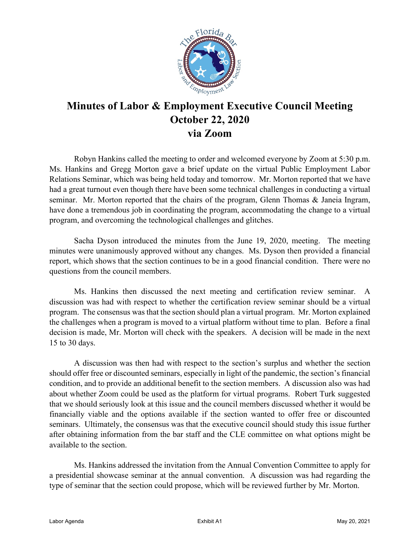

## **Minutes of Labor & Employment Executive Council Meeting October 22, 2020 via Zoom**

Robyn Hankins called the meeting to order and welcomed everyone by Zoom at 5:30 p.m. Ms. Hankins and Gregg Morton gave a brief update on the virtual Public Employment Labor Relations Seminar, which was being held today and tomorrow. Mr. Morton reported that we have had a great turnout even though there have been some technical challenges in conducting a virtual seminar. Mr. Morton reported that the chairs of the program, Glenn Thomas & Janeia Ingram, have done a tremendous job in coordinating the program, accommodating the change to a virtual program, and overcoming the technological challenges and glitches.

Sacha Dyson introduced the minutes from the June 19, 2020, meeting. The meeting minutes were unanimously approved without any changes. Ms. Dyson then provided a financial report, which shows that the section continues to be in a good financial condition. There were no questions from the council members.

Ms. Hankins then discussed the next meeting and certification review seminar. A discussion was had with respect to whether the certification review seminar should be a virtual program. The consensus was that the section should plan a virtual program. Mr. Morton explained the challenges when a program is moved to a virtual platform without time to plan. Before a final decision is made, Mr. Morton will check with the speakers. A decision will be made in the next 15 to 30 days.

A discussion was then had with respect to the section's surplus and whether the section should offer free or discounted seminars, especially in light of the pandemic, the section's financial condition, and to provide an additional benefit to the section members. A discussion also was had about whether Zoom could be used as the platform for virtual programs. Robert Turk suggested that we should seriously look at this issue and the council members discussed whether it would be financially viable and the options available if the section wanted to offer free or discounted seminars. Ultimately, the consensus was that the executive council should study this issue further after obtaining information from the bar staff and the CLE committee on what options might be available to the section.

Ms. Hankins addressed the invitation from the Annual Convention Committee to apply for a presidential showcase seminar at the annual convention. A discussion was had regarding the type of seminar that the section could propose, which will be reviewed further by Mr. Morton.